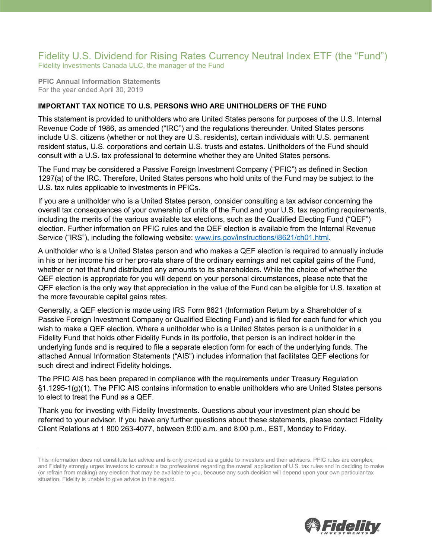## Fidelity U.S. Dividend for Rising Rates Currency Neutral Index ETF (the "Fund") Fidelity Investments Canada ULC, the manager of the Fund

**PFIC Annual Information Statements** For the year ended April 30, 2019

## **IMPORTANT TAX NOTICE TO U.S. PERSONS WHO ARE UNITHOLDERS OF THE FUND**

This statement is provided to unitholders who are United States persons for purposes of the U.S. Internal Revenue Code of 1986, as amended ("IRC") and the regulations thereunder. United States persons include U.S. citizens (whether or not they are U.S. residents), certain individuals with U.S. permanent resident status, U.S. corporations and certain U.S. trusts and estates. Unitholders of the Fund should consult with a U.S. tax professional to determine whether they are United States persons.

The Fund may be considered a Passive Foreign Investment Company ("PFIC") as defined in Section 1297(a) of the IRC. Therefore, United States persons who hold units of the Fund may be subject to the U.S. tax rules applicable to investments in PFICs.

If you are a unitholder who is a United States person, consider consulting a tax advisor concerning the overall tax consequences of your ownership of units of the Fund and your U.S. tax reporting requirements, including the merits of the various available tax elections, such as the Qualified Electing Fund ("QEF") election. Further information on PFIC rules and the QEF election is available from the Internal Revenue Service ("IRS"), including the following website: [www.irs.gov/instructions/i8621/ch01.html.](http://www.irs.gov/instructions/i8621/ch01.html)

A unitholder who is a United States person and who makes a QEF election is required to annually include in his or her income his or her pro-rata share of the ordinary earnings and net capital gains of the Fund, whether or not that fund distributed any amounts to its shareholders. While the choice of whether the QEF election is appropriate for you will depend on your personal circumstances, please note that the QEF election is the only way that appreciation in the value of the Fund can be eligible for U.S. taxation at the more favourable capital gains rates.

Generally, a QEF election is made using IRS Form 8621 (Information Return by a Shareholder of a Passive Foreign Investment Company or Qualified Electing Fund) and is filed for each fund for which you wish to make a QEF election. Where a unitholder who is a United States person is a unitholder in a Fidelity Fund that holds other Fidelity Funds in its portfolio, that person is an indirect holder in the underlying funds and is required to file a separate election form for each of the underlying funds. The attached Annual Information Statements ("AIS") includes information that facilitates QEF elections for such direct and indirect Fidelity holdings.

The PFIC AIS has been prepared in compliance with the requirements under Treasury Regulation §1.1295-1(g)(1). The PFIC AIS contains information to enable unitholders who are United States persons to elect to treat the Fund as a QEF.

Thank you for investing with Fidelity Investments. Questions about your investment plan should be referred to your advisor. If you have any further questions about these statements, please contact Fidelity Client Relations at 1 800 263-4077, between 8:00 a.m. and 8:00 p.m., EST, Monday to Friday.



This information does not constitute tax advice and is only provided as a guide to investors and their advisors. PFIC rules are complex, and Fidelity strongly urges investors to consult a tax professional regarding the overall application of U.S. tax rules and in deciding to make (or refrain from making) any election that may be available to you, because any such decision will depend upon your own particular tax situation. Fidelity is unable to give advice in this regard.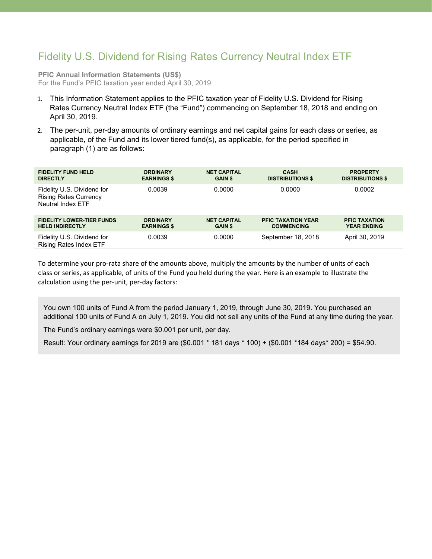## Fidelity U.S. Dividend for Rising Rates Currency Neutral Index ETF

**PFIC Annual Information Statements (US\$)** For the Fund's PFIC taxation year ended April 30, 2019

- 1. This Information Statement applies to the PFIC taxation year of Fidelity U.S. Dividend for Rising Rates Currency Neutral Index ETF (the "Fund") commencing on September 18, 2018 and ending on April 30, 2019.
- 2. The per-unit, per-day amounts of ordinary earnings and net capital gains for each class or series, as applicable, of the Fund and its lower tiered fund(s), as applicable, for the period specified in paragraph (1) are as follows:

| <b>FIDELITY FUND HELD</b>                                                       | <b>ORDINARY</b>    | <b>NET CAPITAL</b> | <b>CASH</b>               | <b>PROPERTY</b>         |
|---------------------------------------------------------------------------------|--------------------|--------------------|---------------------------|-------------------------|
| <b>DIRECTLY</b>                                                                 | <b>EARNINGS \$</b> | <b>GAIN \$</b>     | <b>DISTRIBUTIONS \$</b>   | <b>DISTRIBUTIONS \$</b> |
| Fidelity U.S. Dividend for<br><b>Rising Rates Currency</b><br>Neutral Index FTF | 0.0039             | 0.0000             | 0.0000                    | 0.0002                  |
| <b>FIDELITY LOWER-TIER FUNDS</b>                                                | <b>ORDINARY</b>    | <b>NET CAPITAL</b> | <b>PFIC TAXATION YEAR</b> | <b>PFIC TAXATION</b>    |
| <b>HELD INDIRECTLY</b>                                                          | <b>EARNINGS \$</b> | <b>GAIN \$</b>     | <b>COMMENCING</b>         | <b>YEAR ENDING</b>      |
| Fidelity U.S. Dividend for<br><b>Rising Rates Index ETF</b>                     | 0.0039             | 0.0000             | September 18, 2018        | April 30, 2019          |

To determine your pro-rata share of the amounts above, multiply the amounts by the number of units of each class or series, as applicable, of units of the Fund you held during the year. Here is an example to illustrate the calculation using the per-unit, per-day factors:

You own 100 units of Fund A from the period January 1, 2019, through June 30, 2019. You purchased an additional 100 units of Fund A on July 1, 2019. You did not sell any units of the Fund at any time during the year.

The Fund's ordinary earnings were \$0.001 per unit, per day.

Result: Your ordinary earnings for 2019 are (\$0.001 \* 181 days \* 100) + (\$0.001 \*184 days\* 200) = \$54.90.